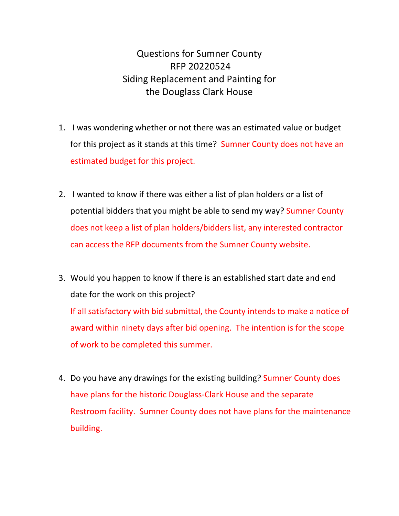Questions for Sumner County RFP 20220524 Siding Replacement and Painting for the Douglass Clark House

- 1. I was wondering whether or not there was an estimated value or budget for this project as it stands at this time? Sumner County does not have an estimated budget for this project.
- 2. I wanted to know if there was either a list of plan holders or a list of potential bidders that you might be able to send my way? Sumner County does not keep a list of plan holders/bidders list, any interested contractor can access the RFP documents from the Sumner County website.
- 3. Would you happen to know if there is an established start date and end date for the work on this project? If all satisfactory with bid submittal, the County intends to make a notice of award within ninety days after bid opening. The intention is for the scope of work to be completed this summer.
- 4. Do you have any drawings for the existing building? Sumner County does have plans for the historic Douglass-Clark House and the separate Restroom facility. Sumner County does not have plans for the maintenance building.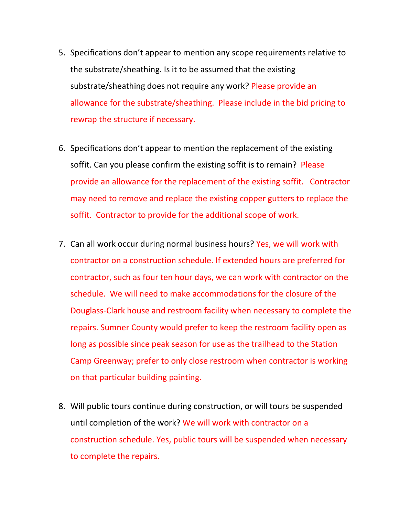- 5. Specifications don't appear to mention any scope requirements relative to the substrate/sheathing. Is it to be assumed that the existing substrate/sheathing does not require any work? Please provide an allowance for the substrate/sheathing. Please include in the bid pricing to rewrap the structure if necessary.
- 6. Specifications don't appear to mention the replacement of the existing soffit. Can you please confirm the existing soffit is to remain? Please provide an allowance for the replacement of the existing soffit. Contractor may need to remove and replace the existing copper gutters to replace the soffit. Contractor to provide for the additional scope of work.
- 7. Can all work occur during normal business hours? Yes, we will work with contractor on a construction schedule. If extended hours are preferred for contractor, such as four ten hour days, we can work with contractor on the schedule. We will need to make accommodations for the closure of the Douglass-Clark house and restroom facility when necessary to complete the repairs. Sumner County would prefer to keep the restroom facility open as long as possible since peak season for use as the trailhead to the Station Camp Greenway; prefer to only close restroom when contractor is working on that particular building painting.
- 8. Will public tours continue during construction, or will tours be suspended until completion of the work? We will work with contractor on a construction schedule. Yes, public tours will be suspended when necessary to complete the repairs.